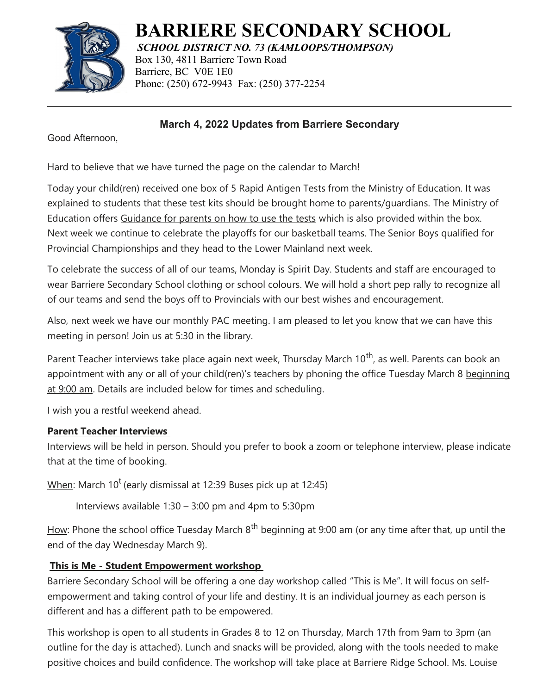

# **BARRIERE SECONDARY SCHOOL**

*SCHOOL DISTRICT NO. 73 (KAMLOOPS/THOMPSON)* Box 130, 4811 Barriere Town Road Barriere, BC V0E 1E0 Phone: (250) 672-9943 Fax: (250) 377-2254

## **March 4, 2022 Updates from Barriere Secondary**

Good Afternoon,

Hard to believe that we have turned the page on the calendar to March!

Today your child(ren) received one box of 5 Rapid Antigen Tests from the Ministry of Education. It was explained to students that these test kits should be brought home to parents/guardians. The Ministry of Education offers [Guidance for parents on how to use the tests](http://www.bced.gov.bc.ca/bulletin/20220215/rapid-test---letter-to-famlies20220215.pdf) which is also provided within the box. Next week we continue to celebrate the playoffs for our basketball teams. The Senior Boys qualified for Provincial Championships and they head to the Lower Mainland next week.

To celebrate the success of all of our teams, Monday is Spirit Day. Students and staff are encouraged to wear Barriere Secondary School clothing or school colours. We will hold a short pep rally to recognize all of our teams and send the boys off to Provincials with our best wishes and encouragement.

Also, next week we have our monthly PAC meeting. I am pleased to let you know that we can have this meeting in person! Join us at 5:30 in the library.

Parent Teacher interviews take place again next week, Thursday March 10<sup>th</sup>, as well. Parents can book an appointment with any or all of your child(ren)'s teachers by phoning the office Tuesday March 8 beginning at 9:00 am. Details are included below for times and scheduling.

I wish you a restful weekend ahead.

### **Parent Teacher Interviews**

Interviews will be held in person. Should you prefer to book a zoom or telephone interview, please indicate that at the time of booking.

 $\underline{\text{When:}}$  March 10<sup>t</sup> (early dismissal at 12:39 Buses pick up at 12:45)

Interviews available 1:30 – 3:00 pm and 4pm to 5:30pm

How: Phone the school office Tuesday March  $8<sup>th</sup>$  beginning at 9:00 am (or any time after that, up until the end of the day Wednesday March 9).

## **This is Me - Student Empowerment workshop**

Barriere Secondary School will be offering a one day workshop called "This is Me". It will focus on selfempowerment and taking control of your life and destiny. It is an individual journey as each person is different and has a different path to be empowered.

This workshop is open to all students in Grades 8 to 12 on Thursday, March 17th from 9am to 3pm (an outline for the day is attached). Lunch and snacks will be provided, along with the tools needed to make positive choices and build confidence. The workshop will take place at Barriere Ridge School. Ms. Louise